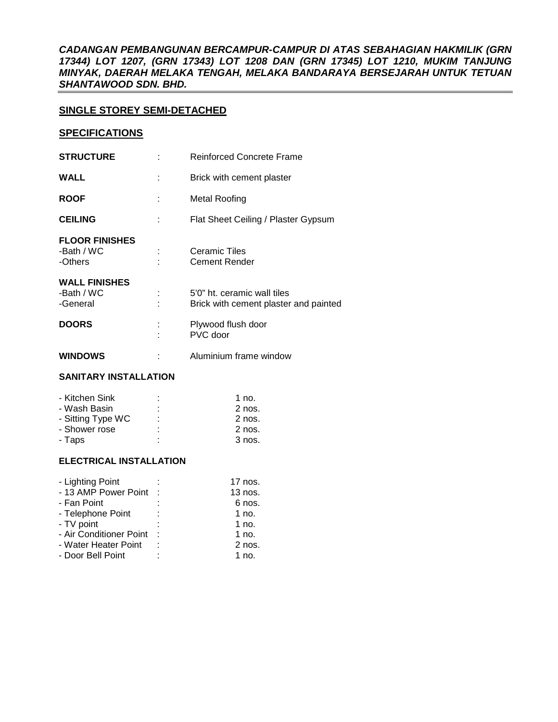*CADANGAN PEMBANGUNAN BERCAMPUR-CAMPUR DI ATAS SEBAHAGIAN HAKMILIK (GRN 17344) LOT 1207, (GRN 17343) LOT 1208 DAN (GRN 17345) LOT 1210, MUKIM TANJUNG MINYAK, DAERAH MELAKA TENGAH, MELAKA BANDARAYA BERSEJARAH UNTUK TETUAN SHANTAWOOD SDN. BHD.* 

# **SINGLE STOREY SEMI-DETACHED**

#### **SPECIFICATIONS**

| <b>STRUCTURE</b>                               |   | <b>Reinforced Concrete Frame</b>                                     |
|------------------------------------------------|---|----------------------------------------------------------------------|
| <b>WALL</b>                                    |   | Brick with cement plaster                                            |
| <b>ROOF</b>                                    | ÷ | Metal Roofing                                                        |
| <b>CEILING</b>                                 |   | Flat Sheet Ceiling / Plaster Gypsum                                  |
| <b>FLOOR FINISHES</b><br>-Bath / WC<br>-Others |   | Ceramic Tiles<br><b>Cement Render</b>                                |
| <b>WALL FINISHES</b><br>-Bath / WC<br>-General |   | 5'0" ht. ceramic wall tiles<br>Brick with cement plaster and painted |
| <b>DOORS</b>                                   |   | Plywood flush door<br>PVC door                                       |
| <b>WINDOWS</b>                                 |   | Aluminium frame window                                               |

# **SANITARY INSTALLATION**

| - Kitchen Sink    | ۰ | 1 no.    |
|-------------------|---|----------|
| - Wash Basin      | ٠ | $2$ nos. |
| - Sitting Type WC |   | $2$ nos. |
| - Shower rose     | ٠ | 2 nos.   |
| - Taps            | ٠ | 3 nos.   |

## **ELECTRICAL INSTALLATION**

| - Lighting Point        | $17$ nos. |
|-------------------------|-----------|
| - 13 AMP Power Point    | $13$ nos. |
| - Fan Point             | 6 nos.    |
| - Telephone Point       | 1 no.     |
| - TV point              | 1 no.     |
| - Air Conditioner Point | 1 no.     |
| - Water Heater Point    | $2$ nos.  |
| - Door Bell Point       | 1 no.     |